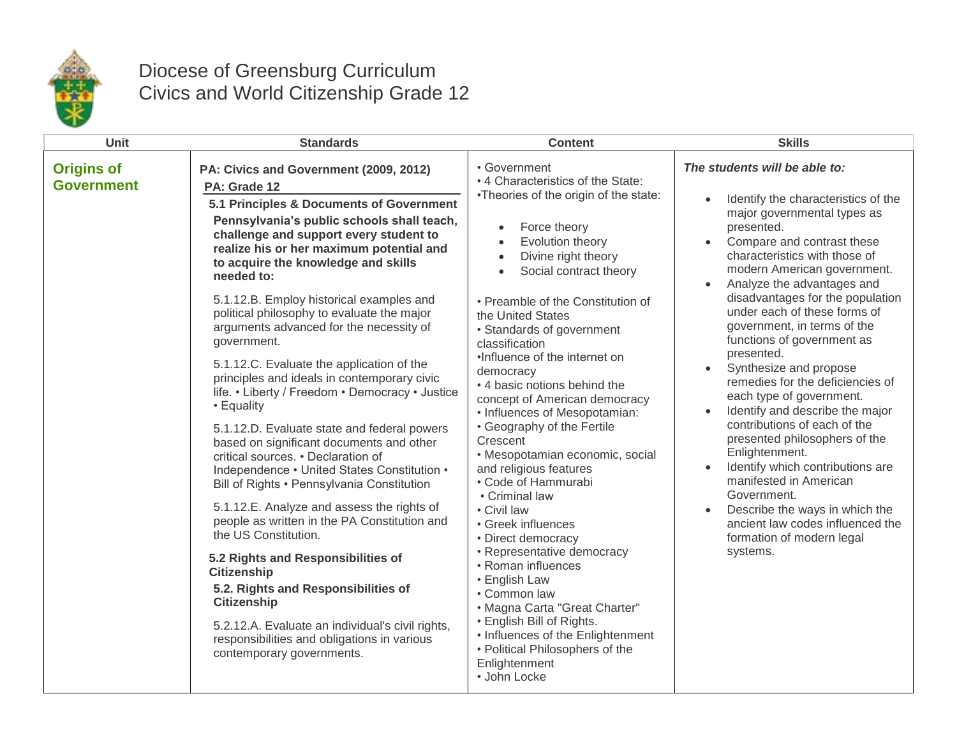

## Diocese of Greensburg Curriculum Civics and World Citizenship Grade 12

| Unit                                   | <b>Standards</b>                                                                                                                                                                                                                                                                                                                                                                                                                                                                                                                                                                                                                                                                                                                                                                                                                                                                                                                                                                                                                                                                                                                                                                                                          | <b>Content</b>                                                                                                                                                                                                                                                                                                                                                                                                                                                                                                                                                                                                                                                                                                                                                                                                                                                                                                                                                      | <b>Skills</b>                                                                                                                                                                                                                                                                                                                                                                                                                                                                                                                                                                                                                                                                                                                                                                                                         |
|----------------------------------------|---------------------------------------------------------------------------------------------------------------------------------------------------------------------------------------------------------------------------------------------------------------------------------------------------------------------------------------------------------------------------------------------------------------------------------------------------------------------------------------------------------------------------------------------------------------------------------------------------------------------------------------------------------------------------------------------------------------------------------------------------------------------------------------------------------------------------------------------------------------------------------------------------------------------------------------------------------------------------------------------------------------------------------------------------------------------------------------------------------------------------------------------------------------------------------------------------------------------------|---------------------------------------------------------------------------------------------------------------------------------------------------------------------------------------------------------------------------------------------------------------------------------------------------------------------------------------------------------------------------------------------------------------------------------------------------------------------------------------------------------------------------------------------------------------------------------------------------------------------------------------------------------------------------------------------------------------------------------------------------------------------------------------------------------------------------------------------------------------------------------------------------------------------------------------------------------------------|-----------------------------------------------------------------------------------------------------------------------------------------------------------------------------------------------------------------------------------------------------------------------------------------------------------------------------------------------------------------------------------------------------------------------------------------------------------------------------------------------------------------------------------------------------------------------------------------------------------------------------------------------------------------------------------------------------------------------------------------------------------------------------------------------------------------------|
| <b>Origins of</b><br><b>Government</b> | PA: Civics and Government (2009, 2012)<br>PA: Grade 12<br>5.1 Principles & Documents of Government<br>Pennsylvania's public schools shall teach,<br>challenge and support every student to<br>realize his or her maximum potential and<br>to acquire the knowledge and skills<br>needed to:<br>5.1.12.B. Employ historical examples and<br>political philosophy to evaluate the major<br>arguments advanced for the necessity of<br>government.<br>5.1.12.C. Evaluate the application of the<br>principles and ideals in contemporary civic<br>life. • Liberty / Freedom • Democracy • Justice<br>• Equality<br>5.1.12.D. Evaluate state and federal powers<br>based on significant documents and other<br>critical sources. • Declaration of<br>Independence • United States Constitution •<br>Bill of Rights • Pennsylvania Constitution<br>5.1.12.E. Analyze and assess the rights of<br>people as written in the PA Constitution and<br>the US Constitution.<br>5.2 Rights and Responsibilities of<br><b>Citizenship</b><br>5.2. Rights and Responsibilities of<br><b>Citizenship</b><br>5.2.12.A. Evaluate an individual's civil rights,<br>responsibilities and obligations in various<br>contemporary governments. | • Government<br>• 4 Characteristics of the State:<br>•Theories of the origin of the state:<br>Force theory<br>$\bullet$<br>Evolution theory<br>$\bullet$<br>Divine right theory<br>$\bullet$<br>Social contract theory<br>$\bullet$<br>• Preamble of the Constitution of<br>the United States<br>• Standards of government<br>classification<br>•Influence of the internet on<br>democracy<br>• 4 basic notions behind the<br>concept of American democracy<br>• Influences of Mesopotamian:<br>• Geography of the Fertile<br>Crescent<br>· Mesopotamian economic, social<br>and religious features<br>• Code of Hammurabi<br>• Criminal law<br>• Civil law<br>• Greek influences<br>• Direct democracy<br>• Representative democracy<br>• Roman influences<br>• English Law<br>• Common law<br>• Magna Carta "Great Charter"<br>• English Bill of Rights.<br>• Influences of the Enlightenment<br>• Political Philosophers of the<br>Enlightenment<br>• John Locke | The students will be able to:<br>Identify the characteristics of the<br>major governmental types as<br>presented.<br>Compare and contrast these<br>characteristics with those of<br>modern American government.<br>Analyze the advantages and<br>disadvantages for the population<br>under each of these forms of<br>government, in terms of the<br>functions of government as<br>presented.<br>Synthesize and propose<br>$\bullet$<br>remedies for the deficiencies of<br>each type of government.<br>Identify and describe the major<br>contributions of each of the<br>presented philosophers of the<br>Enlightenment.<br>Identify which contributions are<br>manifested in American<br>Government.<br>Describe the ways in which the<br>ancient law codes influenced the<br>formation of modern legal<br>systems. |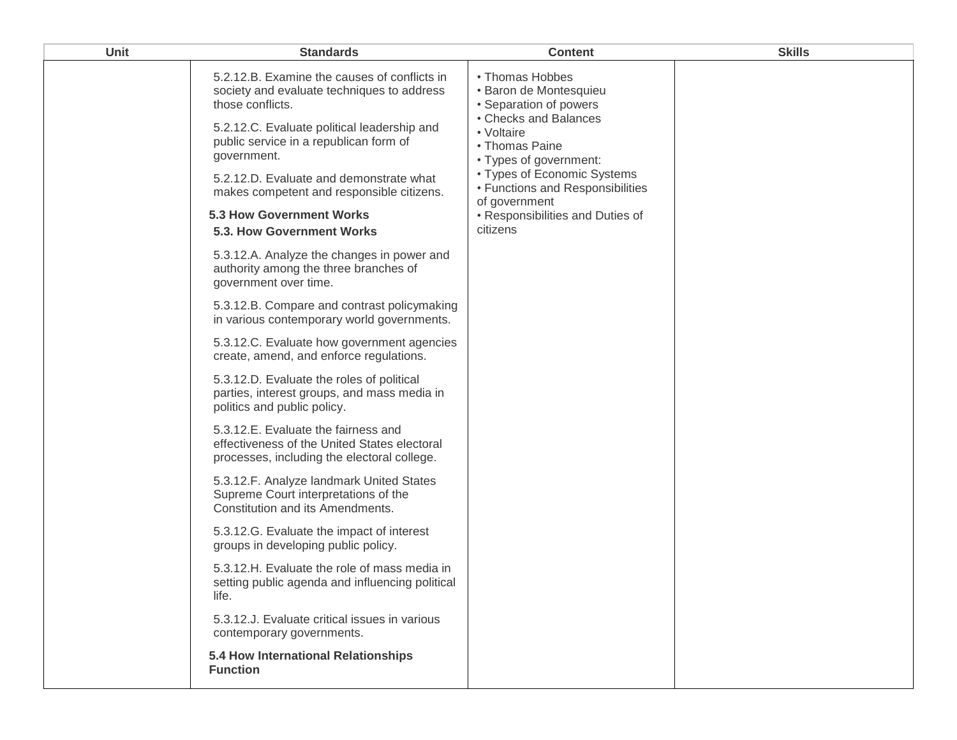| <b>Unit</b> | <b>Standards</b>                                                                                                                                                                                                                                                                                                                                                               | <b>Content</b>                                                                                                                                                                                                                                                                             | <b>Skills</b> |
|-------------|--------------------------------------------------------------------------------------------------------------------------------------------------------------------------------------------------------------------------------------------------------------------------------------------------------------------------------------------------------------------------------|--------------------------------------------------------------------------------------------------------------------------------------------------------------------------------------------------------------------------------------------------------------------------------------------|---------------|
|             | 5.2.12.B. Examine the causes of conflicts in<br>society and evaluate techniques to address<br>those conflicts.<br>5.2.12.C. Evaluate political leadership and<br>public service in a republican form of<br>government.<br>5.2.12.D. Evaluate and demonstrate what<br>makes competent and responsible citizens.<br><b>5.3 How Government Works</b><br>5.3. How Government Works | • Thomas Hobbes<br>• Baron de Montesquieu<br>• Separation of powers<br>• Checks and Balances<br>• Voltaire<br>• Thomas Paine<br>• Types of government:<br>• Types of Economic Systems<br>• Functions and Responsibilities<br>of government<br>• Responsibilities and Duties of<br>citizens |               |
|             | 5.3.12.A. Analyze the changes in power and<br>authority among the three branches of<br>government over time.                                                                                                                                                                                                                                                                   |                                                                                                                                                                                                                                                                                            |               |
|             | 5.3.12.B. Compare and contrast policymaking<br>in various contemporary world governments.                                                                                                                                                                                                                                                                                      |                                                                                                                                                                                                                                                                                            |               |
|             | 5.3.12.C. Evaluate how government agencies<br>create, amend, and enforce regulations.                                                                                                                                                                                                                                                                                          |                                                                                                                                                                                                                                                                                            |               |
|             | 5.3.12.D. Evaluate the roles of political<br>parties, interest groups, and mass media in<br>politics and public policy.                                                                                                                                                                                                                                                        |                                                                                                                                                                                                                                                                                            |               |
|             | 5.3.12.E. Evaluate the fairness and<br>effectiveness of the United States electoral<br>processes, including the electoral college.                                                                                                                                                                                                                                             |                                                                                                                                                                                                                                                                                            |               |
|             | 5.3.12.F. Analyze landmark United States<br>Supreme Court interpretations of the<br>Constitution and its Amendments.                                                                                                                                                                                                                                                           |                                                                                                                                                                                                                                                                                            |               |
|             | 5.3.12.G. Evaluate the impact of interest<br>groups in developing public policy.                                                                                                                                                                                                                                                                                               |                                                                                                                                                                                                                                                                                            |               |
|             | 5.3.12.H. Evaluate the role of mass media in<br>setting public agenda and influencing political<br>life.                                                                                                                                                                                                                                                                       |                                                                                                                                                                                                                                                                                            |               |
|             | 5.3.12.J. Evaluate critical issues in various<br>contemporary governments.                                                                                                                                                                                                                                                                                                     |                                                                                                                                                                                                                                                                                            |               |
|             | 5.4 How International Relationships<br><b>Function</b>                                                                                                                                                                                                                                                                                                                         |                                                                                                                                                                                                                                                                                            |               |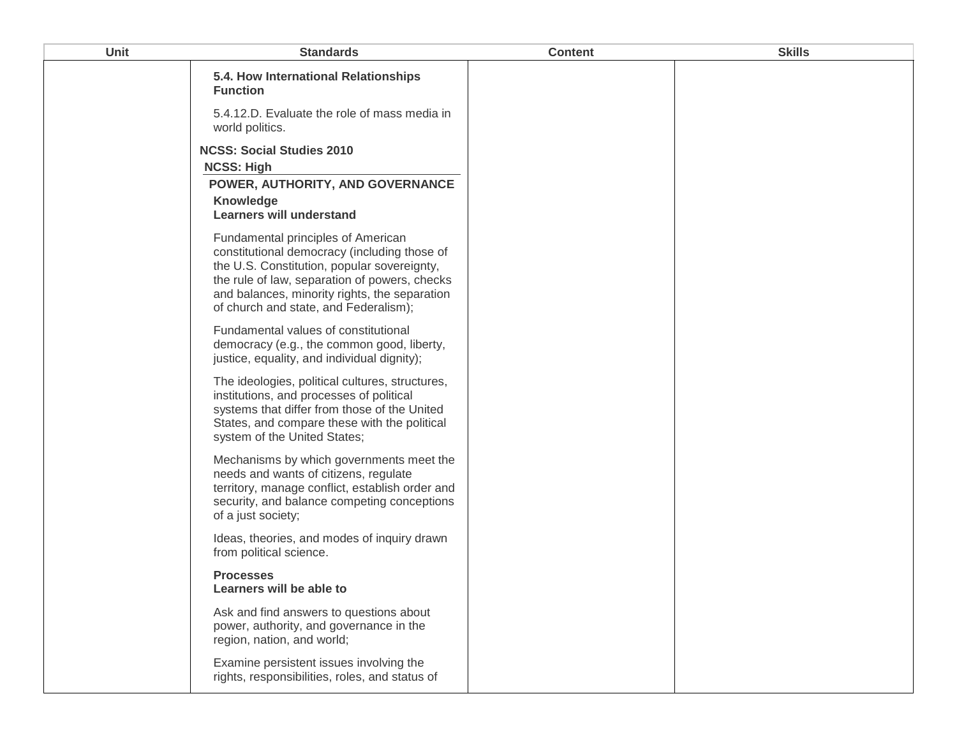| <b>Unit</b> | <b>Standards</b>                                                                                                                                                                                                                                                             | <b>Content</b> | <b>Skills</b> |
|-------------|------------------------------------------------------------------------------------------------------------------------------------------------------------------------------------------------------------------------------------------------------------------------------|----------------|---------------|
|             | 5.4. How International Relationships<br><b>Function</b>                                                                                                                                                                                                                      |                |               |
|             | 5.4.12.D. Evaluate the role of mass media in<br>world politics.                                                                                                                                                                                                              |                |               |
|             | <b>NCSS: Social Studies 2010</b><br><b>NCSS: High</b>                                                                                                                                                                                                                        |                |               |
|             | POWER, AUTHORITY, AND GOVERNANCE<br><b>Knowledge</b><br><b>Learners will understand</b>                                                                                                                                                                                      |                |               |
|             | Fundamental principles of American<br>constitutional democracy (including those of<br>the U.S. Constitution, popular sovereignty,<br>the rule of law, separation of powers, checks<br>and balances, minority rights, the separation<br>of church and state, and Federalism); |                |               |
|             | Fundamental values of constitutional<br>democracy (e.g., the common good, liberty,<br>justice, equality, and individual dignity);                                                                                                                                            |                |               |
|             | The ideologies, political cultures, structures,<br>institutions, and processes of political<br>systems that differ from those of the United<br>States, and compare these with the political<br>system of the United States;                                                  |                |               |
|             | Mechanisms by which governments meet the<br>needs and wants of citizens, regulate<br>territory, manage conflict, establish order and<br>security, and balance competing conceptions<br>of a just society;                                                                    |                |               |
|             | Ideas, theories, and modes of inquiry drawn<br>from political science.                                                                                                                                                                                                       |                |               |
|             | <b>Processes</b><br>Learners will be able to                                                                                                                                                                                                                                 |                |               |
|             | Ask and find answers to questions about<br>power, authority, and governance in the<br>region, nation, and world;                                                                                                                                                             |                |               |
|             | Examine persistent issues involving the<br>rights, responsibilities, roles, and status of                                                                                                                                                                                    |                |               |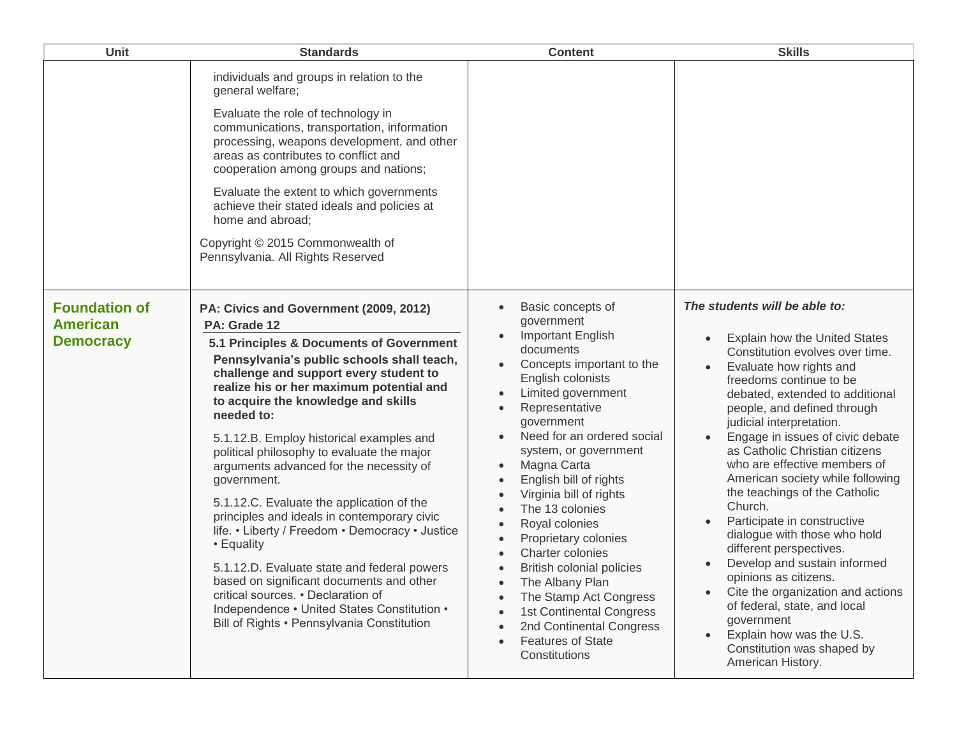| Unit                                                        | <b>Standards</b>                                                                                                                                                                                                                                                                                                                                                                                                                                                                                                                                                                                                                                                                                                                                                                                                                           | <b>Content</b>                                                                                                                                                                                                                                                                                                                                                                                                                                                                                                                                                                                                                                                                                                                                                                                                        | <b>Skills</b>                                                                                                                                                                                                                                                                                                                                                                                                                                                                                                                                                                                                                                                                                                                                                    |
|-------------------------------------------------------------|--------------------------------------------------------------------------------------------------------------------------------------------------------------------------------------------------------------------------------------------------------------------------------------------------------------------------------------------------------------------------------------------------------------------------------------------------------------------------------------------------------------------------------------------------------------------------------------------------------------------------------------------------------------------------------------------------------------------------------------------------------------------------------------------------------------------------------------------|-----------------------------------------------------------------------------------------------------------------------------------------------------------------------------------------------------------------------------------------------------------------------------------------------------------------------------------------------------------------------------------------------------------------------------------------------------------------------------------------------------------------------------------------------------------------------------------------------------------------------------------------------------------------------------------------------------------------------------------------------------------------------------------------------------------------------|------------------------------------------------------------------------------------------------------------------------------------------------------------------------------------------------------------------------------------------------------------------------------------------------------------------------------------------------------------------------------------------------------------------------------------------------------------------------------------------------------------------------------------------------------------------------------------------------------------------------------------------------------------------------------------------------------------------------------------------------------------------|
|                                                             | individuals and groups in relation to the<br>general welfare;<br>Evaluate the role of technology in<br>communications, transportation, information<br>processing, weapons development, and other<br>areas as contributes to conflict and<br>cooperation among groups and nations;<br>Evaluate the extent to which governments<br>achieve their stated ideals and policies at<br>home and abroad;<br>Copyright © 2015 Commonwealth of<br>Pennsylvania. All Rights Reserved                                                                                                                                                                                                                                                                                                                                                                  |                                                                                                                                                                                                                                                                                                                                                                                                                                                                                                                                                                                                                                                                                                                                                                                                                       |                                                                                                                                                                                                                                                                                                                                                                                                                                                                                                                                                                                                                                                                                                                                                                  |
| <b>Foundation of</b><br><b>American</b><br><b>Democracy</b> | PA: Civics and Government (2009, 2012)<br>PA: Grade 12<br>5.1 Principles & Documents of Government<br>Pennsylvania's public schools shall teach,<br>challenge and support every student to<br>realize his or her maximum potential and<br>to acquire the knowledge and skills<br>needed to:<br>5.1.12.B. Employ historical examples and<br>political philosophy to evaluate the major<br>arguments advanced for the necessity of<br>government.<br>5.1.12.C. Evaluate the application of the<br>principles and ideals in contemporary civic<br>life. • Liberty / Freedom • Democracy • Justice<br>• Equality<br>5.1.12.D. Evaluate state and federal powers<br>based on significant documents and other<br>critical sources. • Declaration of<br>Independence • United States Constitution •<br>Bill of Rights • Pennsylvania Constitution | Basic concepts of<br>$\bullet$<br>government<br>Important English<br>documents<br>Concepts important to the<br>$\bullet$<br>English colonists<br>Limited government<br>$\bullet$<br>Representative<br>$\bullet$<br>government<br>Need for an ordered social<br>$\bullet$<br>system, or government<br>Magna Carta<br>$\bullet$<br>English bill of rights<br>$\bullet$<br>Virginia bill of rights<br>$\bullet$<br>The 13 colonies<br>$\bullet$<br>Royal colonies<br>$\bullet$<br>Proprietary colonies<br>$\bullet$<br>Charter colonies<br>$\bullet$<br><b>British colonial policies</b><br>$\bullet$<br>The Albany Plan<br>$\bullet$<br>The Stamp Act Congress<br>$\bullet$<br>1st Continental Congress<br>$\bullet$<br>2nd Continental Congress<br>$\bullet$<br><b>Features of State</b><br>$\bullet$<br>Constitutions | The students will be able to:<br>Explain how the United States<br>Constitution evolves over time.<br>Evaluate how rights and<br>freedoms continue to be<br>debated, extended to additional<br>people, and defined through<br>judicial interpretation.<br>Engage in issues of civic debate<br>as Catholic Christian citizens<br>who are effective members of<br>American society while following<br>the teachings of the Catholic<br>Church.<br>Participate in constructive<br>dialogue with those who hold<br>different perspectives.<br>Develop and sustain informed<br>opinions as citizens.<br>Cite the organization and actions<br>of federal, state, and local<br>government<br>Explain how was the U.S.<br>Constitution was shaped by<br>American History. |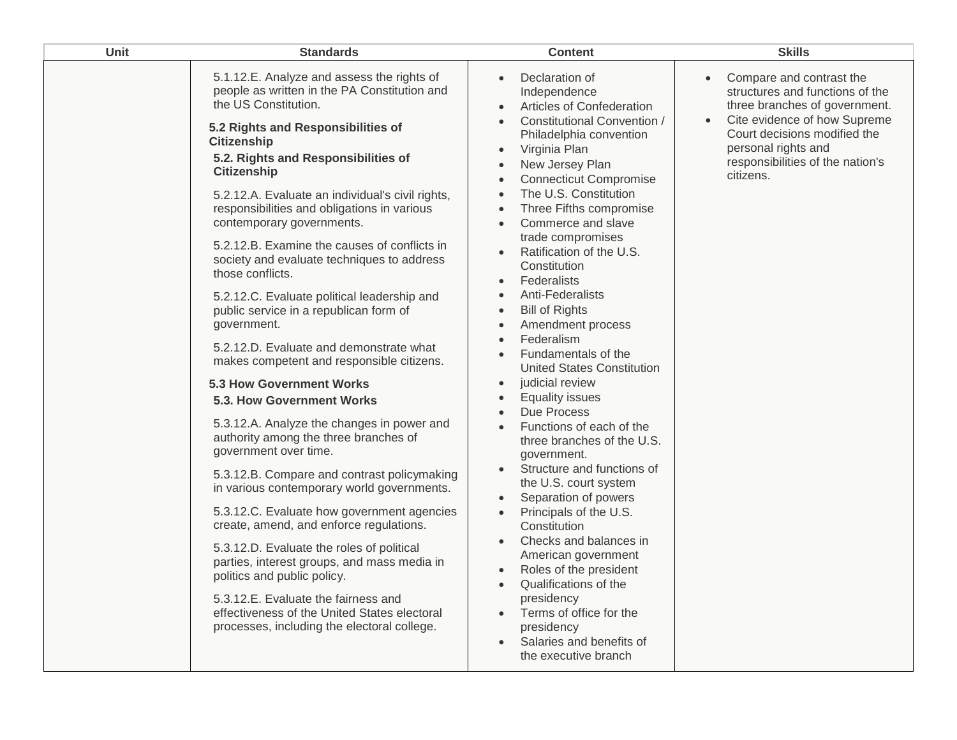| Unit | <b>Standards</b>                                                                                                                                                                                                                                                                                                                                                                                                                                                                                                                                                                                                                                                                                                                                                                                                                                                                                                                                                                                                                                                                                                                                                                                                                                                                                                                     | <b>Content</b>                                                                                                                                                                                                                                                                                                                                                                                                                                                                                                                                                                                                                                                                                                                                                                                                                                                                                                                                                                                                                                                                                                                                                                                                                                                                                               | <b>Skills</b>                                                                                                                                                                                                                                                  |
|------|--------------------------------------------------------------------------------------------------------------------------------------------------------------------------------------------------------------------------------------------------------------------------------------------------------------------------------------------------------------------------------------------------------------------------------------------------------------------------------------------------------------------------------------------------------------------------------------------------------------------------------------------------------------------------------------------------------------------------------------------------------------------------------------------------------------------------------------------------------------------------------------------------------------------------------------------------------------------------------------------------------------------------------------------------------------------------------------------------------------------------------------------------------------------------------------------------------------------------------------------------------------------------------------------------------------------------------------|--------------------------------------------------------------------------------------------------------------------------------------------------------------------------------------------------------------------------------------------------------------------------------------------------------------------------------------------------------------------------------------------------------------------------------------------------------------------------------------------------------------------------------------------------------------------------------------------------------------------------------------------------------------------------------------------------------------------------------------------------------------------------------------------------------------------------------------------------------------------------------------------------------------------------------------------------------------------------------------------------------------------------------------------------------------------------------------------------------------------------------------------------------------------------------------------------------------------------------------------------------------------------------------------------------------|----------------------------------------------------------------------------------------------------------------------------------------------------------------------------------------------------------------------------------------------------------------|
|      | 5.1.12.E. Analyze and assess the rights of<br>people as written in the PA Constitution and<br>the US Constitution.<br>5.2 Rights and Responsibilities of<br><b>Citizenship</b><br>5.2. Rights and Responsibilities of<br><b>Citizenship</b><br>5.2.12.A. Evaluate an individual's civil rights,<br>responsibilities and obligations in various<br>contemporary governments.<br>5.2.12.B. Examine the causes of conflicts in<br>society and evaluate techniques to address<br>those conflicts.<br>5.2.12.C. Evaluate political leadership and<br>public service in a republican form of<br>government.<br>5.2.12.D. Evaluate and demonstrate what<br>makes competent and responsible citizens.<br><b>5.3 How Government Works</b><br>5.3. How Government Works<br>5.3.12.A. Analyze the changes in power and<br>authority among the three branches of<br>government over time.<br>5.3.12.B. Compare and contrast policymaking<br>in various contemporary world governments.<br>5.3.12.C. Evaluate how government agencies<br>create, amend, and enforce regulations.<br>5.3.12.D. Evaluate the roles of political<br>parties, interest groups, and mass media in<br>politics and public policy.<br>5.3.12.E. Evaluate the fairness and<br>effectiveness of the United States electoral<br>processes, including the electoral college. | Declaration of<br>$\bullet$<br>Independence<br>Articles of Confederation<br>$\bullet$<br><b>Constitutional Convention /</b><br>$\bullet$<br>Philadelphia convention<br>Virginia Plan<br>$\bullet$<br>New Jersey Plan<br>$\bullet$<br><b>Connecticut Compromise</b><br>$\bullet$<br>The U.S. Constitution<br>$\bullet$<br>Three Fifths compromise<br>$\bullet$<br>Commerce and slave<br>$\bullet$<br>trade compromises<br>Ratification of the U.S.<br>$\bullet$<br>Constitution<br>Federalists<br>$\bullet$<br>Anti-Federalists<br>$\bullet$<br><b>Bill of Rights</b><br>$\bullet$<br>Amendment process<br>$\bullet$<br>Federalism<br>$\bullet$<br>Fundamentals of the<br>$\bullet$<br><b>United States Constitution</b><br>judicial review<br>$\bullet$<br><b>Equality issues</b><br>$\bullet$<br>Due Process<br>$\bullet$<br>Functions of each of the<br>three branches of the U.S.<br>government.<br>Structure and functions of<br>$\bullet$<br>the U.S. court system<br>Separation of powers<br>$\bullet$<br>Principals of the U.S.<br>$\bullet$<br>Constitution<br>Checks and balances in<br>American government<br>Roles of the president<br>$\bullet$<br>Qualifications of the<br>$\bullet$<br>presidency<br>Terms of office for the<br>presidency<br>Salaries and benefits of<br>the executive branch | Compare and contrast the<br>$\bullet$<br>structures and functions of the<br>three branches of government.<br>Cite evidence of how Supreme<br>$\bullet$<br>Court decisions modified the<br>personal rights and<br>responsibilities of the nation's<br>citizens. |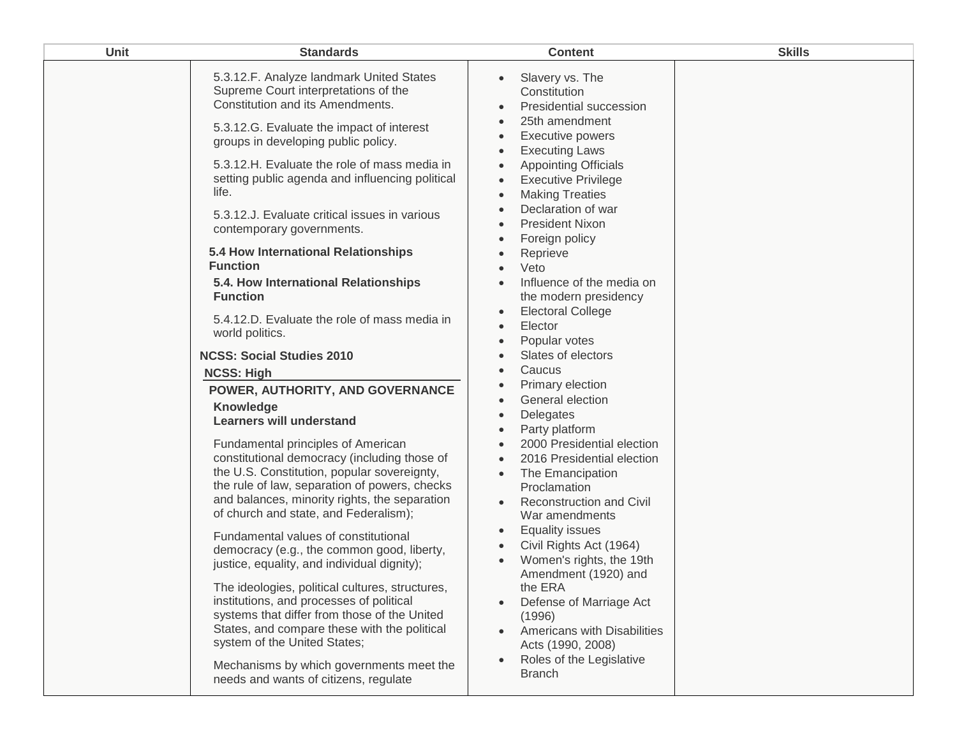| <b>Unit</b> | <b>Standards</b>                                                                                                                                                                                                                                                                                                                                                 | <b>Content</b>                                                                                                                                                                                                                                                 | <b>Skills</b> |
|-------------|------------------------------------------------------------------------------------------------------------------------------------------------------------------------------------------------------------------------------------------------------------------------------------------------------------------------------------------------------------------|----------------------------------------------------------------------------------------------------------------------------------------------------------------------------------------------------------------------------------------------------------------|---------------|
|             | 5.3.12.F. Analyze landmark United States<br>Supreme Court interpretations of the<br>Constitution and its Amendments.<br>5.3.12.G. Evaluate the impact of interest<br>groups in developing public policy.                                                                                                                                                         | Slavery vs. The<br>$\bullet$<br>Constitution<br>Presidential succession<br>$\bullet$<br>25th amendment<br>Executive powers<br>$\bullet$<br><b>Executing Laws</b><br>$\bullet$                                                                                  |               |
|             | 5.3.12.H. Evaluate the role of mass media in<br>setting public agenda and influencing political<br>life.<br>5.3.12.J. Evaluate critical issues in various<br>contemporary governments.                                                                                                                                                                           | <b>Appointing Officials</b><br>$\bullet$<br><b>Executive Privilege</b><br>$\bullet$<br><b>Making Treaties</b><br>$\bullet$<br>Declaration of war<br>$\bullet$<br><b>President Nixon</b><br>$\bullet$                                                           |               |
|             | 5.4 How International Relationships<br><b>Function</b><br>5.4. How International Relationships                                                                                                                                                                                                                                                                   | Foreign policy<br>$\bullet$<br>Reprieve<br>$\bullet$<br>Veto<br>$\bullet$<br>Influence of the media on<br>$\bullet$                                                                                                                                            |               |
|             | <b>Function</b><br>5.4.12.D. Evaluate the role of mass media in<br>world politics.                                                                                                                                                                                                                                                                               | the modern presidency<br><b>Electoral College</b><br>$\bullet$<br>Elector<br>$\bullet$<br>Popular votes<br>$\bullet$                                                                                                                                           |               |
|             | <b>NCSS: Social Studies 2010</b><br><b>NCSS: High</b><br>POWER, AUTHORITY, AND GOVERNANCE<br><b>Knowledge</b>                                                                                                                                                                                                                                                    | Slates of electors<br>$\bullet$<br>Caucus<br>$\bullet$<br>Primary election<br>$\bullet$<br>General election<br>$\bullet$                                                                                                                                       |               |
|             | <b>Learners will understand</b><br>Fundamental principles of American<br>constitutional democracy (including those of<br>the U.S. Constitution, popular sovereignty,<br>the rule of law, separation of powers, checks<br>and balances, minority rights, the separation<br>of church and state, and Federalism);                                                  | Delegates<br>$\bullet$<br>Party platform<br>$\bullet$<br>2000 Presidential election<br>$\bullet$<br>2016 Presidential election<br>$\bullet$<br>The Emancipation<br>$\bullet$<br>Proclamation<br><b>Reconstruction and Civil</b><br>$\bullet$<br>War amendments |               |
|             | Fundamental values of constitutional<br>democracy (e.g., the common good, liberty,<br>justice, equality, and individual dignity);<br>The ideologies, political cultures, structures,<br>institutions, and processes of political<br>systems that differ from those of the United<br>States, and compare these with the political<br>system of the United States; | <b>Equality issues</b><br>$\bullet$<br>Civil Rights Act (1964)<br>$\bullet$<br>Women's rights, the 19th<br>Amendment (1920) and<br>the ERA<br>Defense of Marriage Act<br>$\bullet$<br>(1996)<br>Americans with Disabilities<br>$\bullet$<br>Acts (1990, 2008)  |               |
|             | Mechanisms by which governments meet the<br>needs and wants of citizens, regulate                                                                                                                                                                                                                                                                                | Roles of the Legislative<br>$\bullet$<br><b>Branch</b>                                                                                                                                                                                                         |               |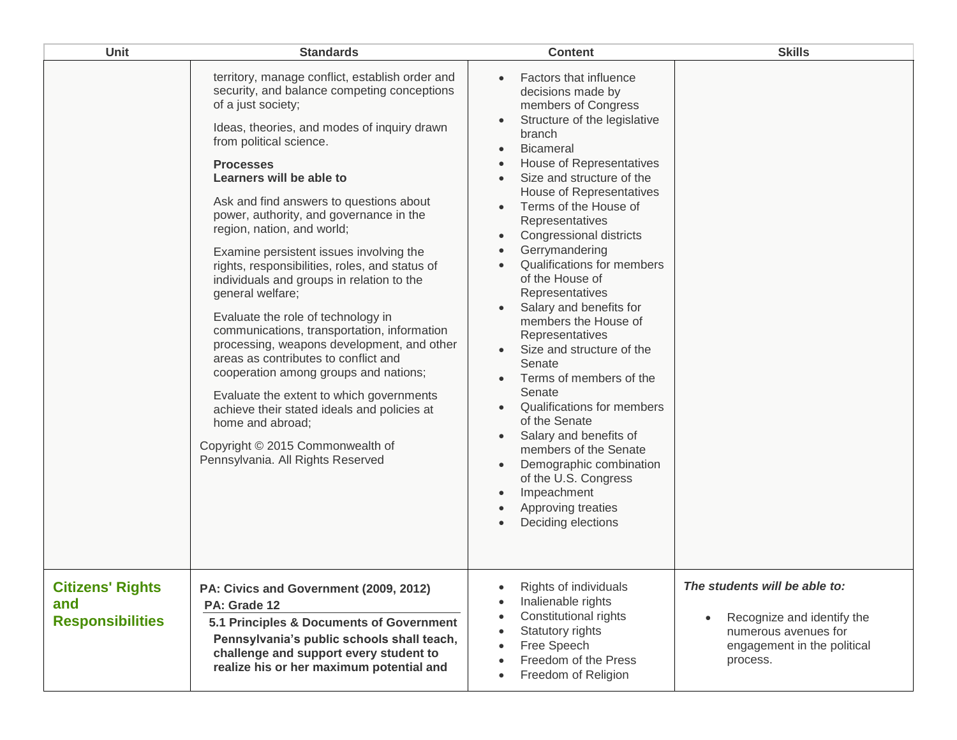| <b>Unit</b>                                               | <b>Standards</b>                                                                                                                                                                                                                                                                                                                                                                                                                                                                                                                                                                                                                                                                                                                                                                                                                                                                                                                             | <b>Content</b>                                                                                                                                                                                                                                                                                                                                                                                                                                                                                                                                                                                                                                                                                                                                                                                                                                                                                                                                           | <b>Skills</b>                                                                                                                  |
|-----------------------------------------------------------|----------------------------------------------------------------------------------------------------------------------------------------------------------------------------------------------------------------------------------------------------------------------------------------------------------------------------------------------------------------------------------------------------------------------------------------------------------------------------------------------------------------------------------------------------------------------------------------------------------------------------------------------------------------------------------------------------------------------------------------------------------------------------------------------------------------------------------------------------------------------------------------------------------------------------------------------|----------------------------------------------------------------------------------------------------------------------------------------------------------------------------------------------------------------------------------------------------------------------------------------------------------------------------------------------------------------------------------------------------------------------------------------------------------------------------------------------------------------------------------------------------------------------------------------------------------------------------------------------------------------------------------------------------------------------------------------------------------------------------------------------------------------------------------------------------------------------------------------------------------------------------------------------------------|--------------------------------------------------------------------------------------------------------------------------------|
|                                                           | territory, manage conflict, establish order and<br>security, and balance competing conceptions<br>of a just society;<br>Ideas, theories, and modes of inquiry drawn<br>from political science.<br><b>Processes</b><br>Learners will be able to<br>Ask and find answers to questions about<br>power, authority, and governance in the<br>region, nation, and world;<br>Examine persistent issues involving the<br>rights, responsibilities, roles, and status of<br>individuals and groups in relation to the<br>general welfare;<br>Evaluate the role of technology in<br>communications, transportation, information<br>processing, weapons development, and other<br>areas as contributes to conflict and<br>cooperation among groups and nations;<br>Evaluate the extent to which governments<br>achieve their stated ideals and policies at<br>home and abroad;<br>Copyright © 2015 Commonwealth of<br>Pennsylvania. All Rights Reserved | Factors that influence<br>decisions made by<br>members of Congress<br>Structure of the legislative<br>branch<br><b>Bicameral</b><br>$\bullet$<br>House of Representatives<br>$\bullet$<br>Size and structure of the<br>$\bullet$<br><b>House of Representatives</b><br>Terms of the House of<br>$\bullet$<br>Representatives<br>Congressional districts<br>$\bullet$<br>Gerrymandering<br>$\bullet$<br>Qualifications for members<br>of the House of<br>Representatives<br>Salary and benefits for<br>members the House of<br>Representatives<br>Size and structure of the<br>$\bullet$<br>Senate<br>Terms of members of the<br>$\bullet$<br>Senate<br><b>Qualifications for members</b><br>$\bullet$<br>of the Senate<br>Salary and benefits of<br>$\bullet$<br>members of the Senate<br>Demographic combination<br>$\bullet$<br>of the U.S. Congress<br>Impeachment<br>$\bullet$<br>Approving treaties<br>$\bullet$<br>Deciding elections<br>$\bullet$ |                                                                                                                                |
| <b>Citizens' Rights</b><br>and<br><b>Responsibilities</b> | PA: Civics and Government (2009, 2012)<br>PA: Grade 12<br>5.1 Principles & Documents of Government<br>Pennsylvania's public schools shall teach,<br>challenge and support every student to<br>realize his or her maximum potential and                                                                                                                                                                                                                                                                                                                                                                                                                                                                                                                                                                                                                                                                                                       | Rights of individuals<br>$\bullet$<br>Inalienable rights<br>$\bullet$<br>Constitutional rights<br>$\bullet$<br>Statutory rights<br>$\bullet$<br>Free Speech<br>$\bullet$<br>Freedom of the Press<br>$\bullet$<br>Freedom of Religion<br>$\bullet$                                                                                                                                                                                                                                                                                                                                                                                                                                                                                                                                                                                                                                                                                                        | The students will be able to:<br>Recognize and identify the<br>numerous avenues for<br>engagement in the political<br>process. |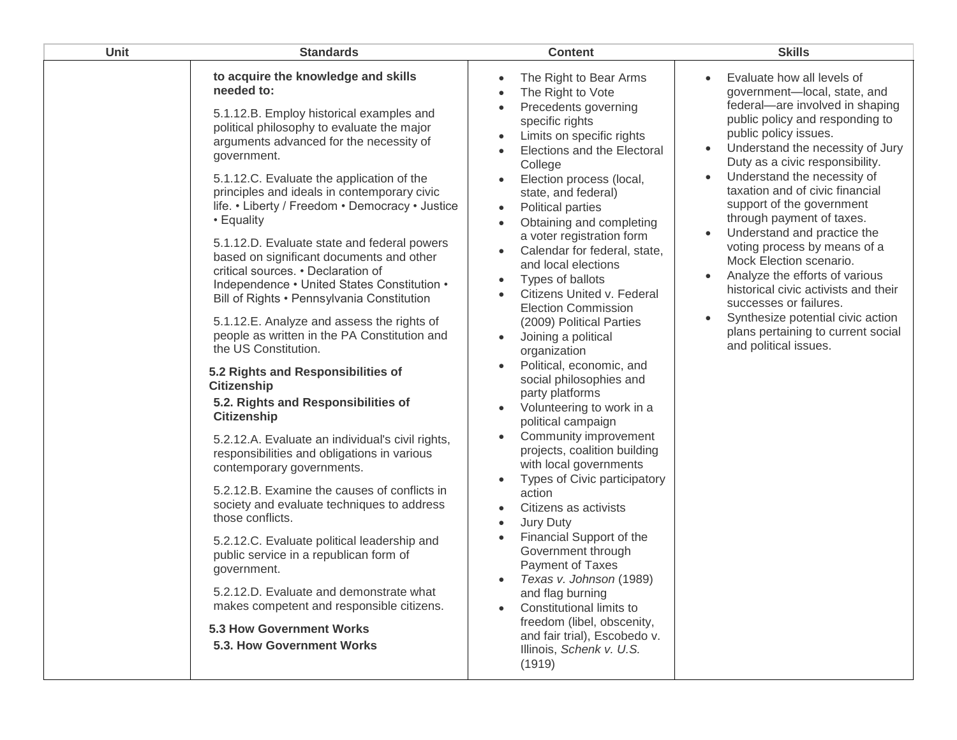| Unit | <b>Standards</b>                                                                                                                                                                                                                                                                                                                                                                                                                                                                                                                                                                                                                                                                                                                                                                                                                                                                                                                                                                                                                                                                                                                                                                                                                                                                                                                                           | <b>Content</b>                                                                                                                                                                                                                                                                                                                                                                                                                                                                                                                                                                                                                                                                                                                                                                                                                                                                                                                                                                                                                                                                                                                              | <b>Skills</b>                                                                                                                                                                                                                                                                                                                                                                                                                                                                                                                                                                                                                                                                                                      |
|------|------------------------------------------------------------------------------------------------------------------------------------------------------------------------------------------------------------------------------------------------------------------------------------------------------------------------------------------------------------------------------------------------------------------------------------------------------------------------------------------------------------------------------------------------------------------------------------------------------------------------------------------------------------------------------------------------------------------------------------------------------------------------------------------------------------------------------------------------------------------------------------------------------------------------------------------------------------------------------------------------------------------------------------------------------------------------------------------------------------------------------------------------------------------------------------------------------------------------------------------------------------------------------------------------------------------------------------------------------------|---------------------------------------------------------------------------------------------------------------------------------------------------------------------------------------------------------------------------------------------------------------------------------------------------------------------------------------------------------------------------------------------------------------------------------------------------------------------------------------------------------------------------------------------------------------------------------------------------------------------------------------------------------------------------------------------------------------------------------------------------------------------------------------------------------------------------------------------------------------------------------------------------------------------------------------------------------------------------------------------------------------------------------------------------------------------------------------------------------------------------------------------|--------------------------------------------------------------------------------------------------------------------------------------------------------------------------------------------------------------------------------------------------------------------------------------------------------------------------------------------------------------------------------------------------------------------------------------------------------------------------------------------------------------------------------------------------------------------------------------------------------------------------------------------------------------------------------------------------------------------|
|      | to acquire the knowledge and skills<br>needed to:<br>5.1.12.B. Employ historical examples and<br>political philosophy to evaluate the major<br>arguments advanced for the necessity of<br>government.<br>5.1.12.C. Evaluate the application of the<br>principles and ideals in contemporary civic<br>life. • Liberty / Freedom • Democracy • Justice<br>• Equality<br>5.1.12.D. Evaluate state and federal powers<br>based on significant documents and other<br>critical sources. • Declaration of<br>Independence • United States Constitution •<br>Bill of Rights • Pennsylvania Constitution<br>5.1.12.E. Analyze and assess the rights of<br>people as written in the PA Constitution and<br>the US Constitution.<br>5.2 Rights and Responsibilities of<br><b>Citizenship</b><br>5.2. Rights and Responsibilities of<br><b>Citizenship</b><br>5.2.12.A. Evaluate an individual's civil rights,<br>responsibilities and obligations in various<br>contemporary governments.<br>5.2.12.B. Examine the causes of conflicts in<br>society and evaluate techniques to address<br>those conflicts.<br>5.2.12.C. Evaluate political leadership and<br>public service in a republican form of<br>government.<br>5.2.12.D. Evaluate and demonstrate what<br>makes competent and responsible citizens.<br>5.3 How Government Works<br>5.3. How Government Works | The Right to Bear Arms<br>The Right to Vote<br>Precedents governing<br>$\bullet$<br>specific rights<br>Limits on specific rights<br>Elections and the Electoral<br>$\bullet$<br>College<br>Election process (local,<br>state, and federal)<br>Political parties<br>$\bullet$<br>Obtaining and completing<br>a voter registration form<br>Calendar for federal, state,<br>and local elections<br>Types of ballots<br>Citizens United v. Federal<br><b>Election Commission</b><br>(2009) Political Parties<br>Joining a political<br>organization<br>Political, economic, and<br>social philosophies and<br>party platforms<br>Volunteering to work in a<br>political campaign<br>Community improvement<br>projects, coalition building<br>with local governments<br>Types of Civic participatory<br>action<br>Citizens as activists<br>$\bullet$<br>Jury Duty<br>$\bullet$<br>Financial Support of the<br>$\bullet$<br>Government through<br>Payment of Taxes<br>Texas v. Johnson (1989)<br>and flag burning<br>Constitutional limits to<br>freedom (libel, obscenity,<br>and fair trial), Escobedo v.<br>Illinois, Schenk v. U.S.<br>(1919) | Evaluate how all levels of<br>$\bullet$<br>government-local, state, and<br>federal-are involved in shaping<br>public policy and responding to<br>public policy issues.<br>Understand the necessity of Jury<br>$\bullet$<br>Duty as a civic responsibility.<br>Understand the necessity of<br>taxation and of civic financial<br>support of the government<br>through payment of taxes.<br>Understand and practice the<br>voting process by means of a<br>Mock Election scenario.<br>Analyze the efforts of various<br>$\bullet$<br>historical civic activists and their<br>successes or failures.<br>Synthesize potential civic action<br>$\bullet$<br>plans pertaining to current social<br>and political issues. |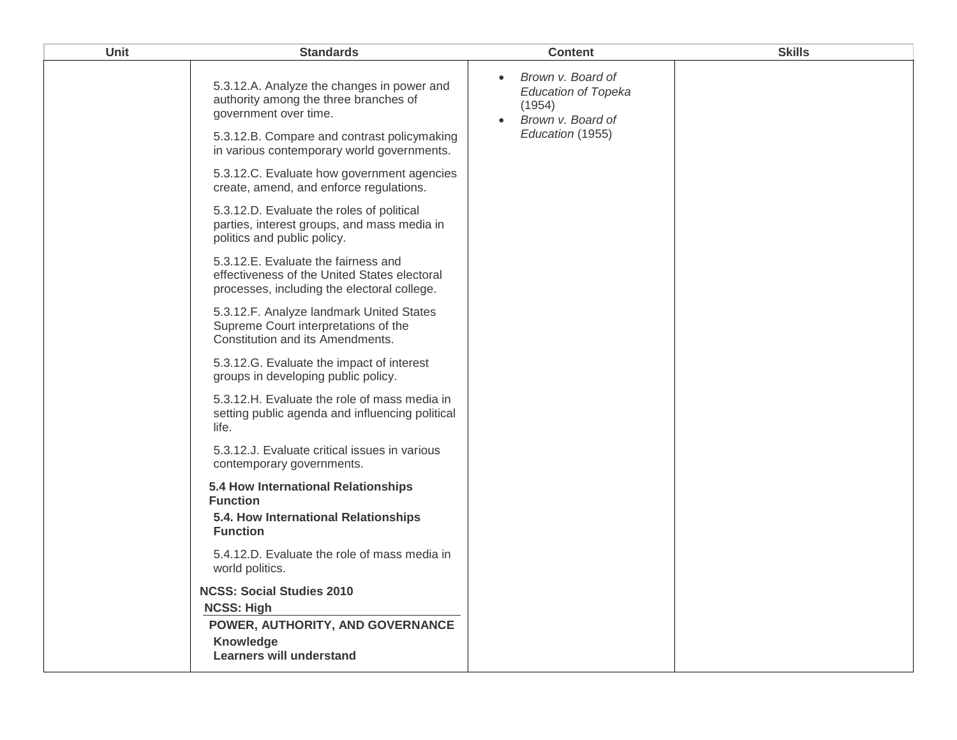| Unit | <b>Standards</b>                                                                                                                                                                                          | <b>Content</b>                                                                                                               | <b>Skills</b> |
|------|-----------------------------------------------------------------------------------------------------------------------------------------------------------------------------------------------------------|------------------------------------------------------------------------------------------------------------------------------|---------------|
|      | 5.3.12.A. Analyze the changes in power and<br>authority among the three branches of<br>government over time.<br>5.3.12.B. Compare and contrast policymaking<br>in various contemporary world governments. | Brown v. Board of<br>$\bullet$<br><b>Education of Topeka</b><br>(1954)<br>Brown v. Board of<br>$\bullet$<br>Education (1955) |               |
|      | 5.3.12.C. Evaluate how government agencies<br>create, amend, and enforce regulations.                                                                                                                     |                                                                                                                              |               |
|      | 5.3.12.D. Evaluate the roles of political<br>parties, interest groups, and mass media in<br>politics and public policy.                                                                                   |                                                                                                                              |               |
|      | 5.3.12.E. Evaluate the fairness and<br>effectiveness of the United States electoral<br>processes, including the electoral college.                                                                        |                                                                                                                              |               |
|      | 5.3.12.F. Analyze landmark United States<br>Supreme Court interpretations of the<br>Constitution and its Amendments.                                                                                      |                                                                                                                              |               |
|      | 5.3.12.G. Evaluate the impact of interest<br>groups in developing public policy.                                                                                                                          |                                                                                                                              |               |
|      | 5.3.12.H. Evaluate the role of mass media in<br>setting public agenda and influencing political<br>life.                                                                                                  |                                                                                                                              |               |
|      | 5.3.12.J. Evaluate critical issues in various<br>contemporary governments.                                                                                                                                |                                                                                                                              |               |
|      | 5.4 How International Relationships<br><b>Function</b><br>5.4. How International Relationships<br><b>Function</b>                                                                                         |                                                                                                                              |               |
|      | 5.4.12.D. Evaluate the role of mass media in<br>world politics.                                                                                                                                           |                                                                                                                              |               |
|      | <b>NCSS: Social Studies 2010</b><br><b>NCSS: High</b><br>POWER, AUTHORITY, AND GOVERNANCE<br>Knowledge                                                                                                    |                                                                                                                              |               |
|      | <b>Learners will understand</b>                                                                                                                                                                           |                                                                                                                              |               |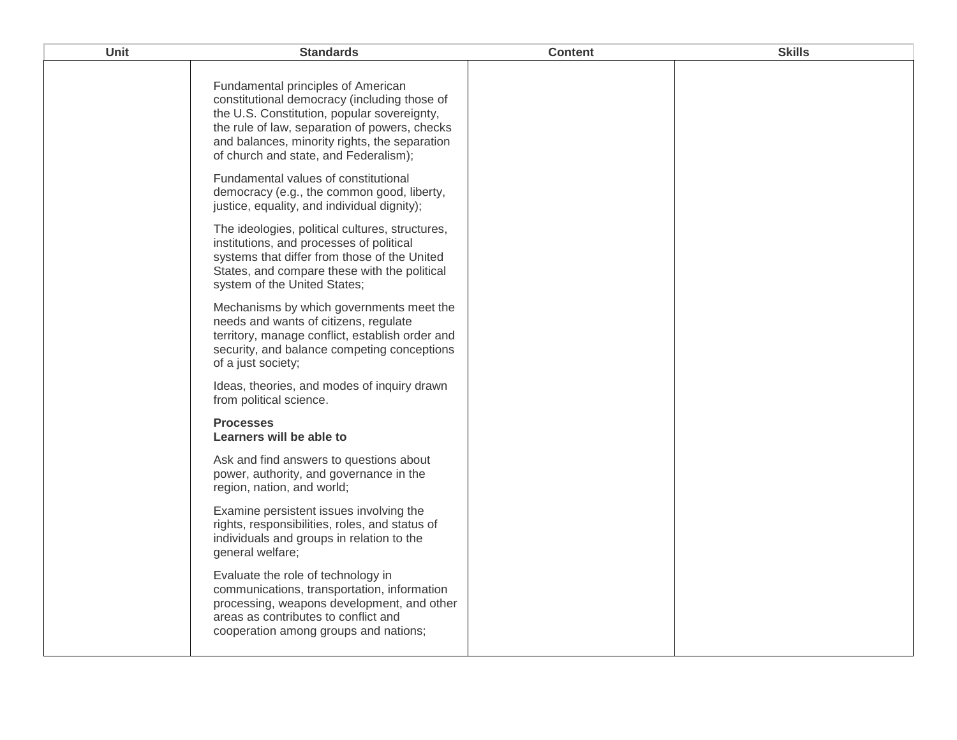| Unit | <b>Standards</b>                                                                                                                                                                                                                                                             | <b>Content</b> | <b>Skills</b> |
|------|------------------------------------------------------------------------------------------------------------------------------------------------------------------------------------------------------------------------------------------------------------------------------|----------------|---------------|
|      | Fundamental principles of American<br>constitutional democracy (including those of<br>the U.S. Constitution, popular sovereignty,<br>the rule of law, separation of powers, checks<br>and balances, minority rights, the separation<br>of church and state, and Federalism); |                |               |
|      | Fundamental values of constitutional<br>democracy (e.g., the common good, liberty,<br>justice, equality, and individual dignity);                                                                                                                                            |                |               |
|      | The ideologies, political cultures, structures,<br>institutions, and processes of political<br>systems that differ from those of the United<br>States, and compare these with the political<br>system of the United States;                                                  |                |               |
|      | Mechanisms by which governments meet the<br>needs and wants of citizens, regulate<br>territory, manage conflict, establish order and<br>security, and balance competing conceptions<br>of a just society;                                                                    |                |               |
|      | Ideas, theories, and modes of inquiry drawn<br>from political science.                                                                                                                                                                                                       |                |               |
|      | <b>Processes</b><br>Learners will be able to                                                                                                                                                                                                                                 |                |               |
|      | Ask and find answers to questions about<br>power, authority, and governance in the<br>region, nation, and world;                                                                                                                                                             |                |               |
|      | Examine persistent issues involving the<br>rights, responsibilities, roles, and status of<br>individuals and groups in relation to the<br>general welfare;                                                                                                                   |                |               |
|      | Evaluate the role of technology in<br>communications, transportation, information<br>processing, weapons development, and other<br>areas as contributes to conflict and<br>cooperation among groups and nations;                                                             |                |               |